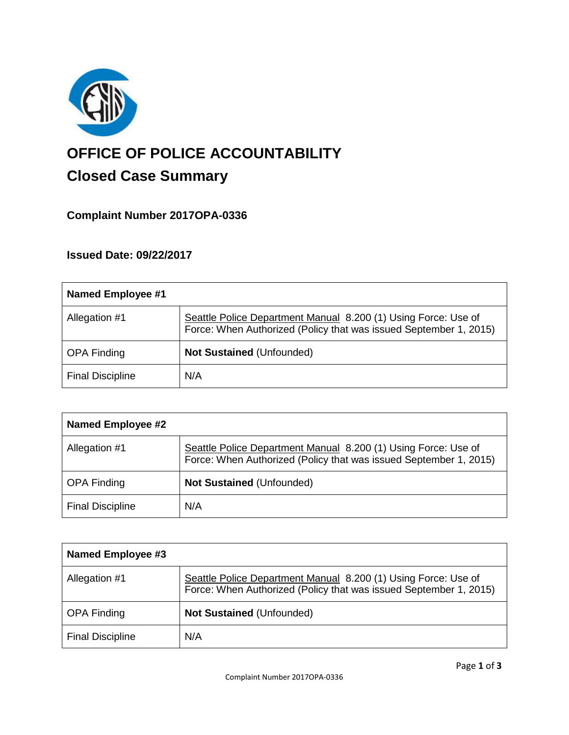

# **OFFICE OF POLICE ACCOUNTABILITY**

# **Closed Case Summary**

## **Complaint Number 2017OPA-0336**

### **Issued Date: 09/22/2017**

| Named Employee #1       |                                                                                                                                     |
|-------------------------|-------------------------------------------------------------------------------------------------------------------------------------|
| Allegation #1           | Seattle Police Department Manual 8.200 (1) Using Force: Use of<br>Force: When Authorized (Policy that was issued September 1, 2015) |
| <b>OPA Finding</b>      | <b>Not Sustained (Unfounded)</b>                                                                                                    |
| <b>Final Discipline</b> | N/A                                                                                                                                 |

| <b>Named Employee #2</b> |                                                                                                                                     |
|--------------------------|-------------------------------------------------------------------------------------------------------------------------------------|
| Allegation #1            | Seattle Police Department Manual 8.200 (1) Using Force: Use of<br>Force: When Authorized (Policy that was issued September 1, 2015) |
| <b>OPA Finding</b>       | <b>Not Sustained (Unfounded)</b>                                                                                                    |
| <b>Final Discipline</b>  | N/A                                                                                                                                 |

| Named Employee #3       |                                                                                                                                     |
|-------------------------|-------------------------------------------------------------------------------------------------------------------------------------|
| Allegation #1           | Seattle Police Department Manual 8.200 (1) Using Force: Use of<br>Force: When Authorized (Policy that was issued September 1, 2015) |
| <b>OPA Finding</b>      | <b>Not Sustained (Unfounded)</b>                                                                                                    |
| <b>Final Discipline</b> | N/A                                                                                                                                 |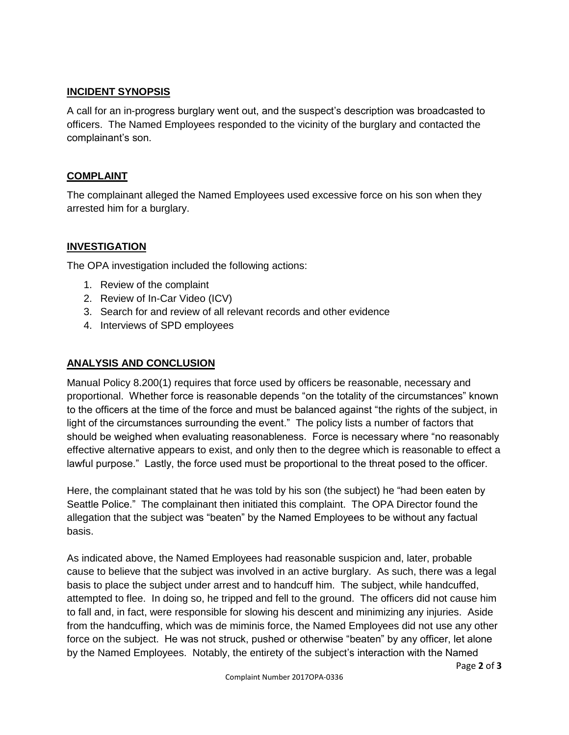#### **INCIDENT SYNOPSIS**

A call for an in-progress burglary went out, and the suspect's description was broadcasted to officers. The Named Employees responded to the vicinity of the burglary and contacted the complainant's son.

#### **COMPLAINT**

The complainant alleged the Named Employees used excessive force on his son when they arrested him for a burglary.

#### **INVESTIGATION**

The OPA investigation included the following actions:

- 1. Review of the complaint
- 2. Review of In-Car Video (ICV)
- 3. Search for and review of all relevant records and other evidence
- 4. Interviews of SPD employees

#### **ANALYSIS AND CONCLUSION**

Manual Policy 8.200(1) requires that force used by officers be reasonable, necessary and proportional. Whether force is reasonable depends "on the totality of the circumstances" known to the officers at the time of the force and must be balanced against "the rights of the subject, in light of the circumstances surrounding the event." The policy lists a number of factors that should be weighed when evaluating reasonableness. Force is necessary where "no reasonably effective alternative appears to exist, and only then to the degree which is reasonable to effect a lawful purpose." Lastly, the force used must be proportional to the threat posed to the officer.

Here, the complainant stated that he was told by his son (the subject) he "had been eaten by Seattle Police." The complainant then initiated this complaint. The OPA Director found the allegation that the subject was "beaten" by the Named Employees to be without any factual basis.

As indicated above, the Named Employees had reasonable suspicion and, later, probable cause to believe that the subject was involved in an active burglary. As such, there was a legal basis to place the subject under arrest and to handcuff him. The subject, while handcuffed, attempted to flee. In doing so, he tripped and fell to the ground. The officers did not cause him to fall and, in fact, were responsible for slowing his descent and minimizing any injuries. Aside from the handcuffing, which was de miminis force, the Named Employees did not use any other force on the subject. He was not struck, pushed or otherwise "beaten" by any officer, let alone by the Named Employees. Notably, the entirety of the subject's interaction with the Named